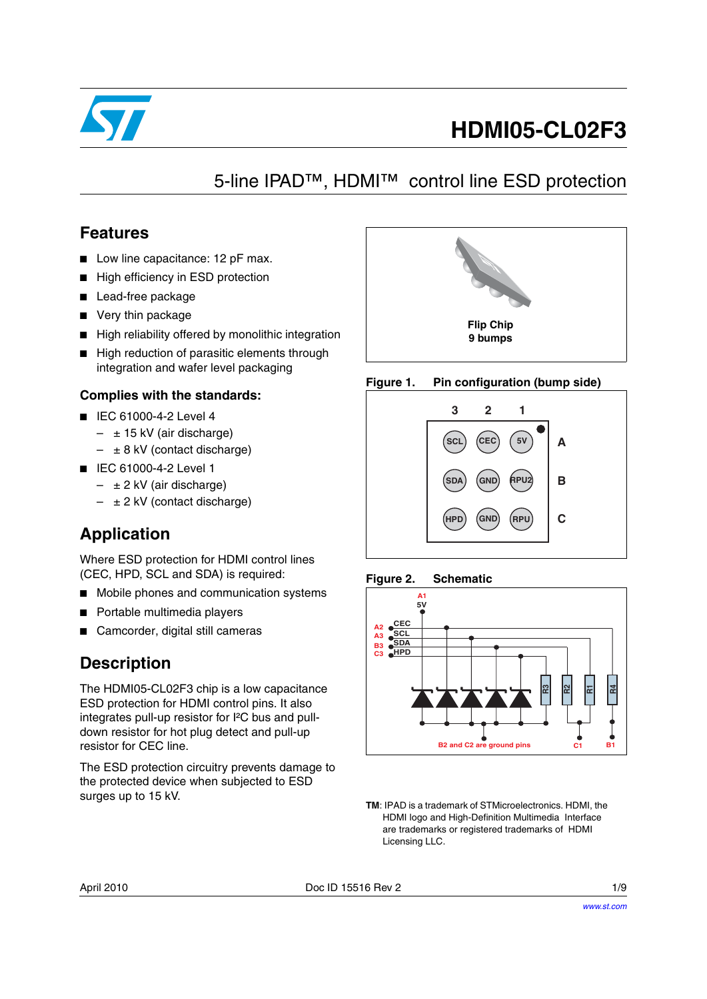

# **HDMI05-CL02F3**

## 5-line IPAD™, HDMI™ control line ESD protection

### **Features**

- Low line capacitance: 12 pF max.
- High efficiency in ESD protection
- Lead-free package
- Very thin package
- High reliability offered by monolithic integration
- High reduction of parasitic elements through integration and wafer level packaging

### **Complies with the standards:**

- IEC 61000-4-2 Level 4
	- $\pm$  15 kV (air discharge)
	- $-$  ± 8 kV (contact discharge)
- IEC 61000-4-2 Level 1
	- $-$  ± 2 kV (air discharge)
	- $\pm$  2 kV (contact discharge)

### **Application**

Where ESD protection for HDMI control lines (CEC, HPD, SCL and SDA) is required:

- Mobile phones and communication systems
- Portable multimedia players
- Camcorder, digital still cameras

### **Description**

The HDMI05-CL02F3 chip is a low capacitance ESD protection for HDMI control pins. It also integrates pull-up resistor for I²C bus and pulldown resistor for hot plug detect and pull-up resistor for CEC line.

The ESD protection circuitry prevents damage to the protected device when subjected to ESD surges up to 15 kV.



#### **Figure 1. Pin configuration (bump side)**







**TM**: IPAD is a trademark of STMicroelectronics. HDMI, the HDMI logo and High-Definition Multimedia Interface are trademarks or registered trademarks of HDMI Licensing LLC.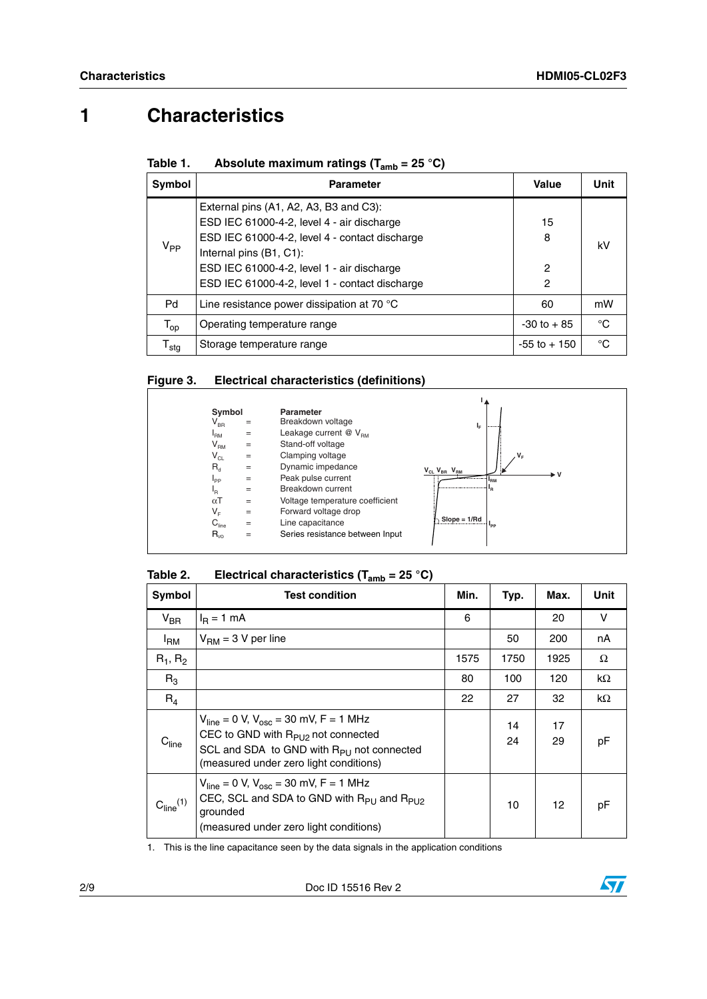# **1 Characteristics**

| Table 1. | Absolute maximum ratings ( $T_{amb}$ = 25 °C) |
|----------|-----------------------------------------------|
|          |                                               |

| Symbol                       | <b>Parameter</b>                                                                                                                                                                                                                                                  | Value             | Unit |
|------------------------------|-------------------------------------------------------------------------------------------------------------------------------------------------------------------------------------------------------------------------------------------------------------------|-------------------|------|
| $V_{PP}$                     | External pins (A1, A2, A3, B3 and C3):<br>ESD IEC 61000-4-2, level 4 - air discharge<br>ESD IEC 61000-4-2, level 4 - contact discharge<br>Internal pins (B1, C1):<br>ESD IEC 61000-4-2, level 1 - air discharge<br>ESD IEC 61000-4-2, level 1 - contact discharge | 15<br>8<br>2<br>2 | kV   |
| Pd                           | Line resistance power dissipation at 70 $^{\circ}$ C                                                                                                                                                                                                              | 60                | mW   |
| $\mathsf{T}_{\textsf{op}}$   | Operating temperature range                                                                                                                                                                                                                                       | $-30$ to $+85$    | °C   |
| ${\mathsf T}_{\textsf{stg}}$ | Storage temperature range                                                                                                                                                                                                                                         | $-55$ to $+150$   | °C   |

#### **Figure 3. Electrical characteristics (definitions)**

| Symbol                     |     | Parameter                       |                                   |
|----------------------------|-----|---------------------------------|-----------------------------------|
| $\mathsf{V}_{\mathsf{BR}}$ | $=$ | Breakdown voltage               | <br>ıμ                            |
| $I_{\rm RM}$               | $=$ | Leakage current $@V_{BMA}$      |                                   |
| V <sub>RM</sub>            | $=$ | Stand-off voltage               |                                   |
| $\mathsf{V}_{\mathsf{CL}}$ | $=$ | Clamping voltage                | $V_F$                             |
| $R_d$                      | $=$ | Dynamic impedance               | $V_{CL} V_{BR} V_{RM}$            |
| $I_{\mathsf{PP}}$          | $=$ | Peak pulse current              | .v<br><sup>1</sup> <sub>RM</sub>  |
| ŀR                         | $=$ | Breakdown current               | <br>'R                            |
| $\alpha$ T                 | $=$ | Voltage temperature coefficient |                                   |
| $V_F$                      | $=$ | Forward voltage drop            |                                   |
| $C_{\text{line}}$          | $=$ | Line capacitance                | $Slope = 1/rd$<br>I <sub>PP</sub> |
| $R_{\nu 0}$                | =   | Series resistance between Input |                                   |

#### Table 2. **Electrical characteristics (T<sub>amb</sub> = 25 °C)**

| Symbol                           | <b>Test condition</b>                                                                                                                                                                       | Min. | Typ.     | Max.     | Unit |
|----------------------------------|---------------------------------------------------------------------------------------------------------------------------------------------------------------------------------------------|------|----------|----------|------|
| $V_{\text{BR}}$                  | $I_R = 1$ mA                                                                                                                                                                                | 6    |          | 20       | v    |
| <sup>I</sup> RM                  | $V_{\text{RM}}$ = 3 V per line                                                                                                                                                              |      | 50       | 200      | nA   |
| $R_1, R_2$                       |                                                                                                                                                                                             | 1575 | 1750     | 1925     | Ω    |
| $R_3$                            |                                                                                                                                                                                             | 80   | 100      | 120      | kΩ   |
| $R_4$                            |                                                                                                                                                                                             | 22   | 27       | 32       | kΩ   |
| $C_{\text{line}}$                | $V_{line}$ = 0 V, $V_{osc}$ = 30 mV, F = 1 MHz<br>CEC to GND with $R_{P1}$ not connected<br>SCL and SDA to GND with R <sub>PU</sub> not connected<br>(measured under zero light conditions) |      | 14<br>24 | 17<br>29 | рF   |
| C <sub>line</sub> <sup>(1)</sup> | $V_{line}$ = 0 V, $V_{osc}$ = 30 mV, F = 1 MHz<br>CEC, SCL and SDA to GND with R <sub>PU</sub> and R <sub>PU2</sub><br>grounded<br>(measured under zero light conditions)                   |      | 10       | 12       | рF   |

1. This is the line capacitance seen by the data signals in the application conditions

2/9 Doc ID 15516 Rev 2

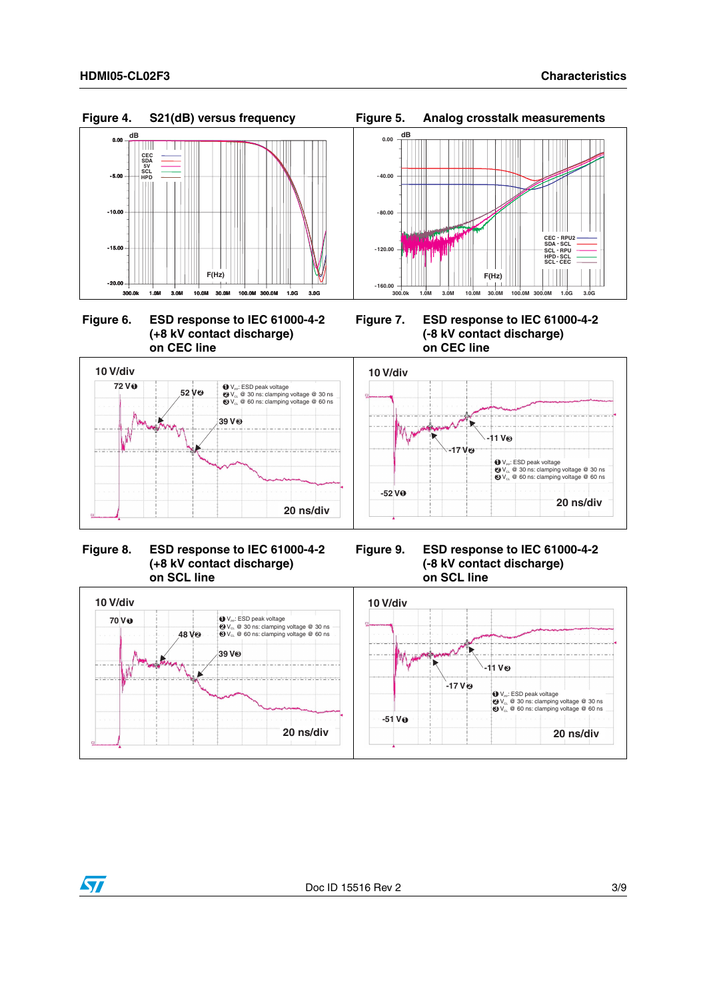







#### **Figure 8. ESD response to IEC 61000-4-2 (+8 kV contact discharge) on SCL line**



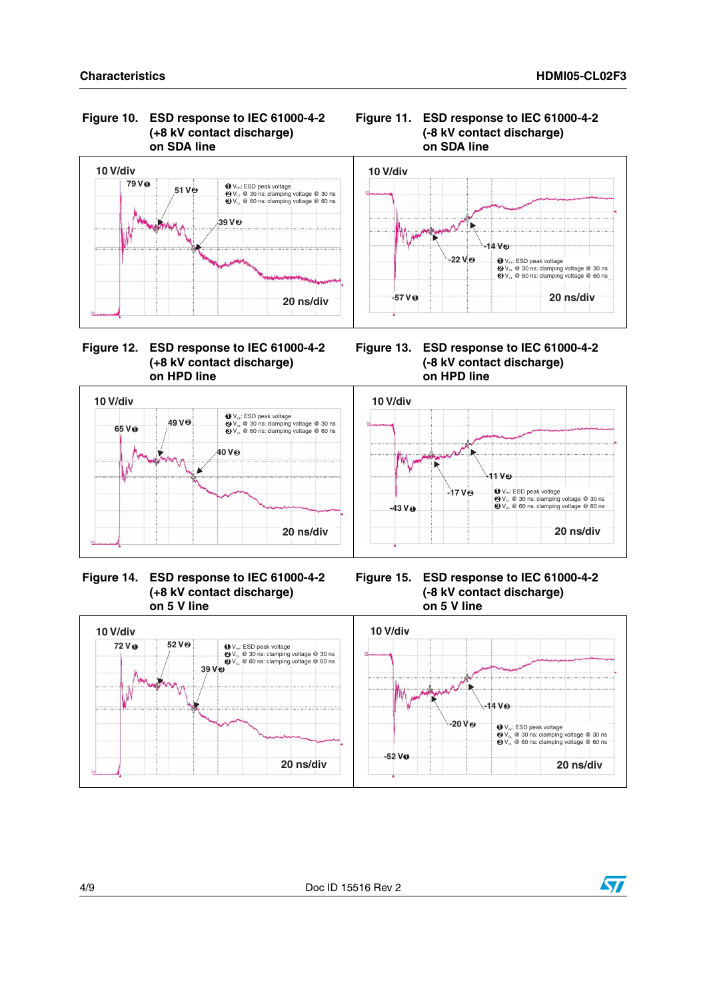





#### **Figure 12. ESD response to IEC 61000-4-2 (+8 kV contact discharge) on HPD line**

**Figure 13. ESD response to IEC 61000-4-2 (-8 kV contact discharge) on HPD line**



 **Figure 14. ESD response to IEC 61000-4-2 (+8 kV contact discharge) on 5 V line**

**Figure 15. ESD response to IEC 61000-4-2 (-8 kV contact discharge) on 5 V line**



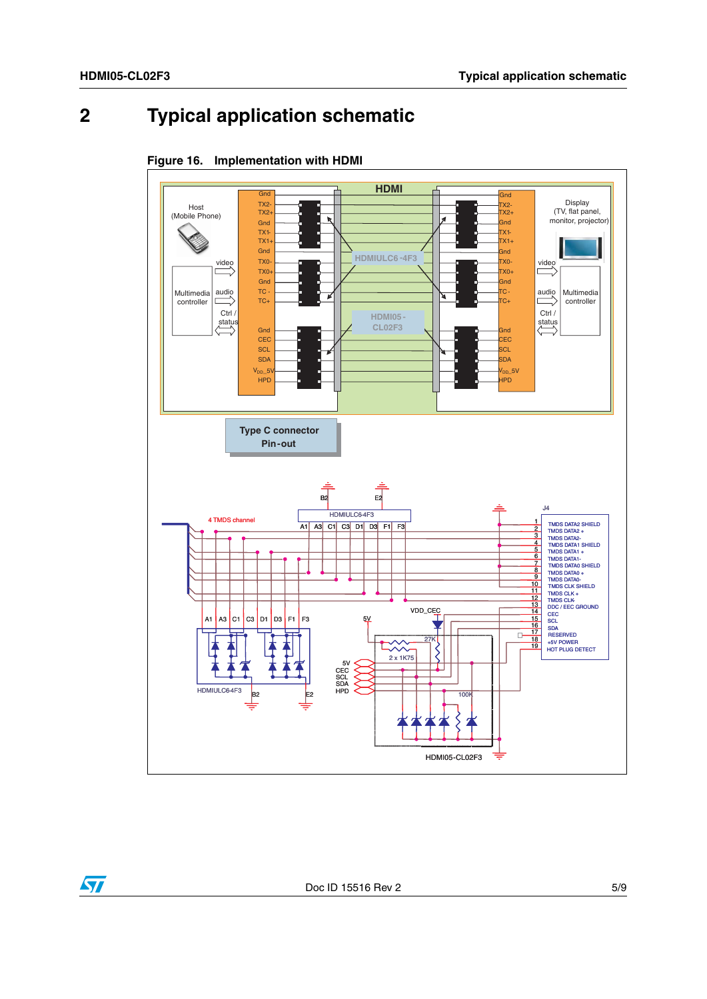# **2 Typical application schematic**





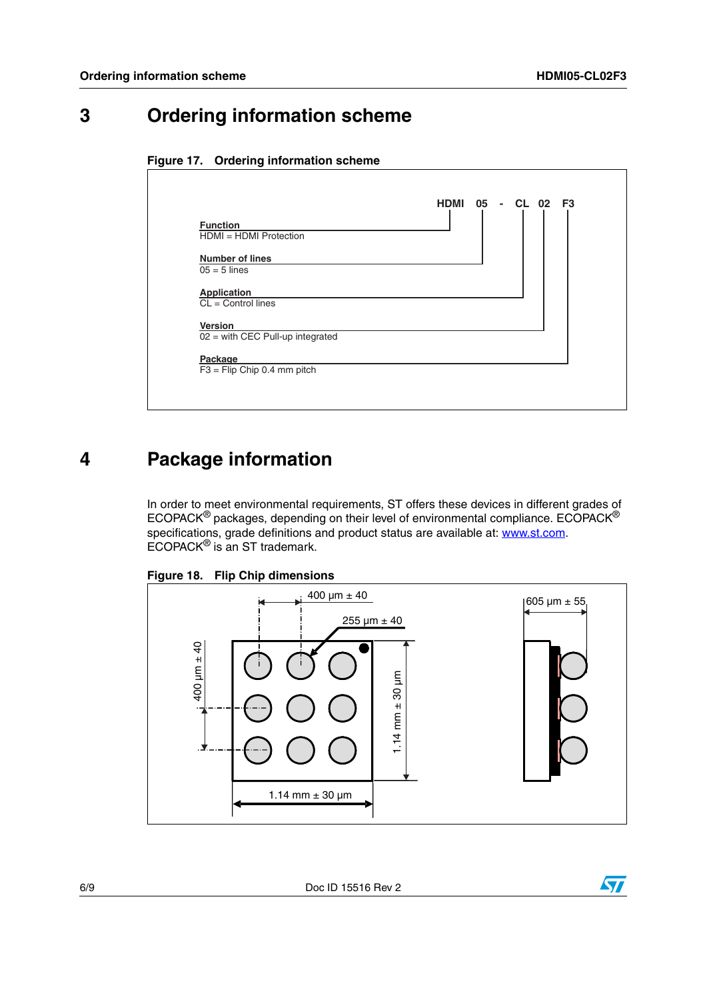### **3 Ordering information scheme**





### **4 Package information**

In order to meet environmental requirements, ST offers these devices in different grades of ECOPACK<sup>®</sup> packages, depending on their level of environmental compliance. ECOPACK<sup>®</sup> specifications, grade definitions and product status are available at: [www.st.com](http://www.st.com). ECOPACK<sup>®</sup> is an ST trademark.



<span id="page-5-0"></span>**Figure 18. Flip Chip dimensions**

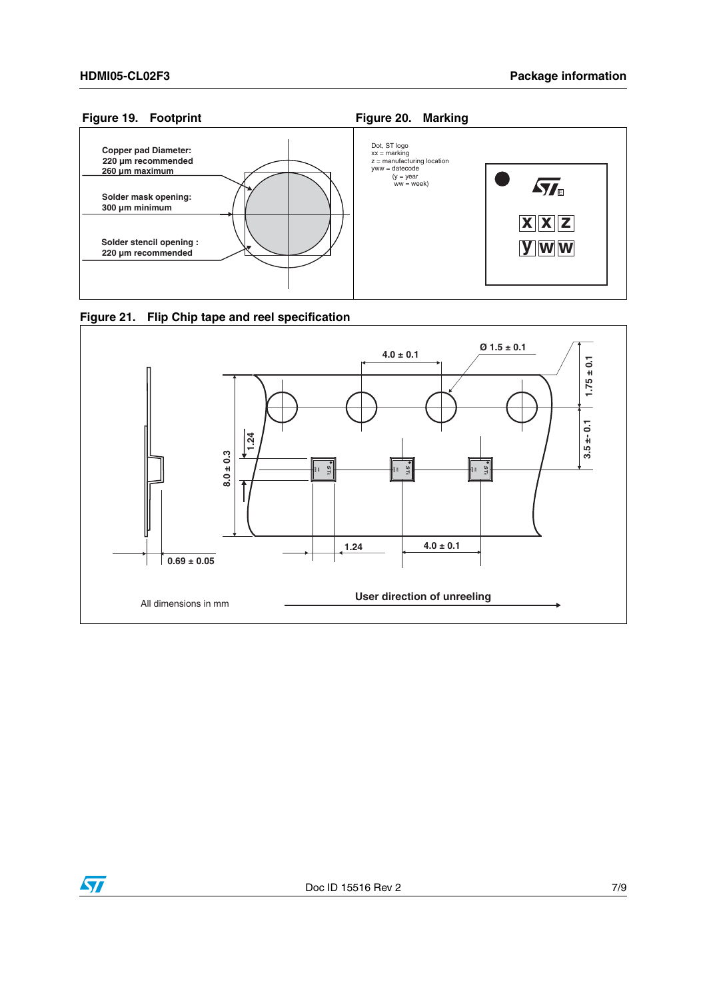





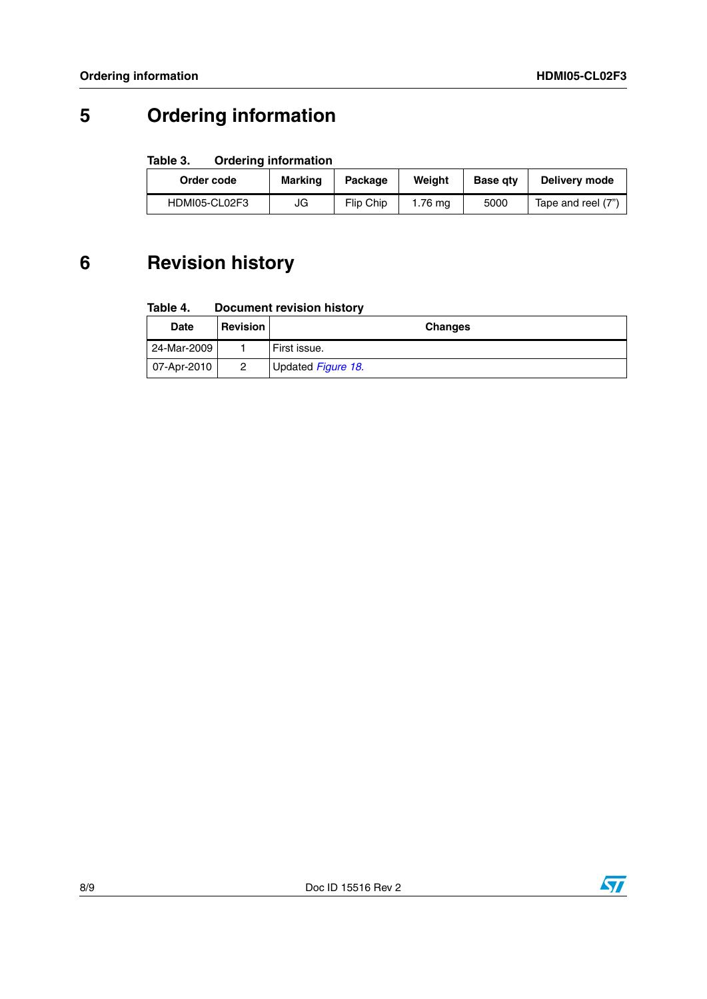# **5 Ordering information**

### **Table 3. Ordering information**

| Order code    | <b>Marking</b> | Package   | Weight  | <b>Base atv</b> | Delivery mode      |
|---------------|----------------|-----------|---------|-----------------|--------------------|
| HDMI05-CL02F3 | JG             | Flip Chip | 1.76 ma | 5000            | Tape and reel (7") |

## **6 Revision history**

#### **Table 4. Document revision history**

| <b>Date</b> | <b>Revision</b> | <b>Changes</b>            |
|-------------|-----------------|---------------------------|
| 24-Mar-2009 |                 | First issue.              |
| 07-Apr-2010 |                 | Updated <i>Figure 18.</i> |